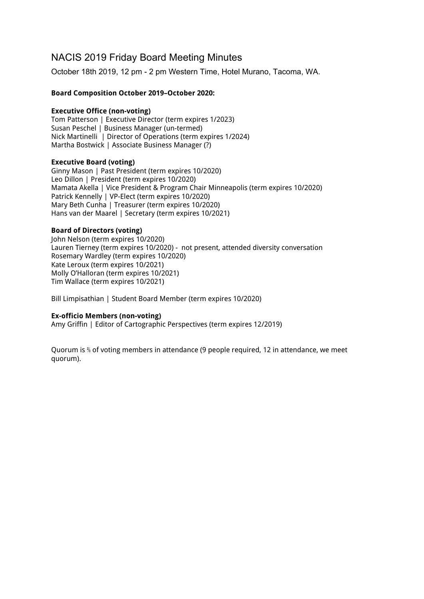# NACIS 2019 Friday Board Meeting Minutes

October 18th 2019, 12 pm - 2 pm Western Time, Hotel Murano, Tacoma, WA.

# **Board Composition October 2019–October 2020:**

## **Executive Office (non-voting)**

Tom Patterson | Executive Director (term expires 1/2023) Susan Peschel | Business Manager (un-termed) Nick Martinelli | Director of Operations (term expires 1/2024) Martha Bostwick | Associate Business Manager (?)

## **Executive Board (voting)**

Ginny Mason | Past President (term expires 10/2020) Leo Dillon | President (term expires 10/2020) Mamata Akella | Vice President & Program Chair Minneapolis (term expires 10/2020) Patrick Kennelly | VP-Elect (term expires 10/2020) Mary Beth Cunha | Treasurer (term expires 10/2020) Hans van der Maarel | Secretary (term expires 10/2021)

## **Board of Directors (voting)**

John Nelson (term expires 10/2020) Lauren Tierney (term expires 10/2020) - not present, attended diversity conversation Rosemary Wardley (term expires 10/2020) Kate Leroux (term expires 10/2021) Molly O'Halloran (term expires 10/2021) Tim Wallace (term expires 10/2021)

Bill Limpisathian | Student Board Member (term expires 10/2020)

## **Ex-officio Members (non-voting)**

Amy Griffin | Editor of Cartographic Perspectives (term expires 12/2019)

Quorum is % of voting members in attendance (9 people required, 12 in attendance, we meet quorum).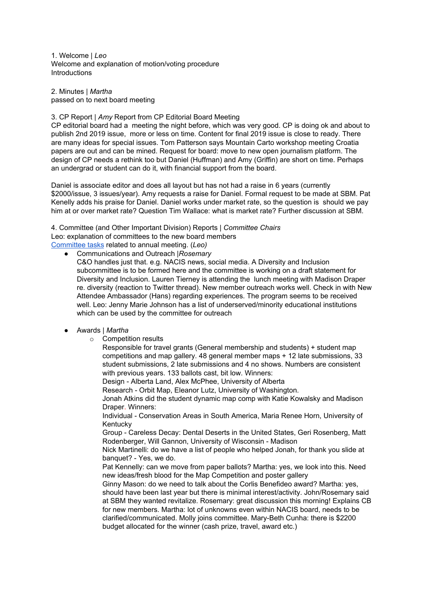1. Welcome | *Leo* Welcome and explanation of motion/voting procedure **Introductions** 

2. Minutes | *Martha* passed on to next board meeting

#### 3. CP Report | *Amy* Report from CP Editorial Board Meeting

CP editorial board had a meeting the night before, which was very good. CP is doing ok and about to publish 2nd 2019 issue, more or less on time. Content for final 2019 issue is close to ready. There are many ideas for special issues. Tom Patterson says Mountain Carto workshop meeting Croatia papers are out and can be mined. Request for board: move to new open journalism platform. The design of CP needs a rethink too but Daniel (Huffman) and Amy (Griffin) are short on time. Perhaps an undergrad or student can do it, with financial support from the board.

Daniel is associate editor and does all layout but has not had a raise in 6 years (currently \$2000/issue, 3 issues/year). Amy requests a raise for Daniel. Formal request to be made at SBM. Pat Kenelly adds his praise for Daniel. Daniel works under market rate, so the question is should we pay him at or over market rate? Question Tim Wallace: what is market rate? Further discussion at SBM.

4. Committee (and Other Important Division) Reports | *Committee Chairs* Leo: explanation of committees to the new board members

[Committee](https://docs.google.com/document/d/140DCmhb9bvJUbpDEuYcNvbIR35bl1-l_M8Nd3qVz8XE/edit) tasks related to annual meeting. (*Leo)*

- Communications and Outreach |*Rosemary*
	- C&O handles just that. e.g. NACIS news, social media. A Diversity and Inclusion subcommittee is to be formed here and the committee is working on a draft statement for Diversity and Inclusion. Lauren Tierney is attending the lunch meeting with Madison Draper re. diversity (reaction to Twitter thread). New member outreach works well. Check in with New Attendee Ambassador (Hans) regarding experiences. The program seems to be received well. Leo: Jenny Marie Johnson has a list of underserved/minority educational institutions which can be used by the committee for outreach

## ● Awards | *Martha*

o Competition results

Responsible for travel grants (General membership and students) + student map competitions and map gallery. 48 general member maps + 12 late submissions, 33 student submissions, 2 late submissions and 4 no shows. Numbers are consistent with previous years. 133 ballots cast, bit low. Winners:

Design - Alberta Land, Alex McPhee, University of Alberta

Research - Orbit Map, Eleanor Lutz, University of Washington.

Jonah Atkins did the student dynamic map comp with Katie Kowalsky and Madison Draper. Winners:

Individual - Conservation Areas in South America, Maria Renee Horn, University of Kentucky

Group - Careless Decay: Dental Deserts in the United States, Geri Rosenberg, Matt Rodenberger, Will Gannon, University of Wisconsin - Madison

Nick Martinelli: do we have a list of people who helped Jonah, for thank you slide at banquet? - Yes, we do.

Pat Kennelly: can we move from paper ballots? Martha: yes, we look into this. Need new ideas/fresh blood for the Map Competition and poster gallery

Ginny Mason: do we need to talk about the Corlis Benefideo award? Martha: yes, should have been last year but there is minimal interest/activity. John/Rosemary said at SBM they wanted revitalize. Rosemary: great discussion this morning! Explains CB for new members. Martha: lot of unknowns even within NACIS board, needs to be clarified/communicated. Molly joins committee. Mary-Beth Cunha: there is \$2200 budget allocated for the winner (cash prize, travel, award etc.)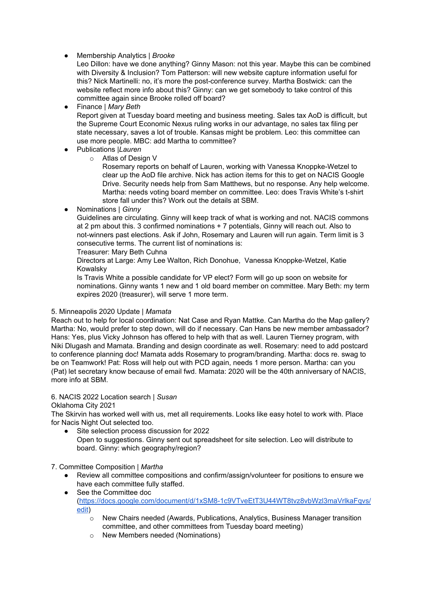# ● Membership Analytics | *Brooke*

Leo Dillon: have we done anything? Ginny Mason: not this year. Maybe this can be combined with Diversity & Inclusion? Tom Patterson: will new website capture information useful for this? Nick Martinelli: no, it's more the post-conference survey. Martha Bostwick: can the website reflect more info about this? Ginny: can we get somebody to take control of this committee again since Brooke rolled off board?

● Finance | *Mary Beth*

Report given at Tuesday board meeting and business meeting. Sales tax AoD is difficult, but the Supreme Court Economic Nexus ruling works in our advantage, no sales tax filing per state necessary, saves a lot of trouble. Kansas might be problem. Leo: this committee can use more people. MBC: add Martha to committee?

- Publications |*Lauren*
	- o Atlas of Design V

Rosemary reports on behalf of Lauren, working with Vanessa Knoppke-Wetzel to clear up the AoD file archive. Nick has action items for this to get on NACIS Google Drive. Security needs help from Sam Matthews, but no response. Any help welcome. Martha: needs voting board member on committee. Leo: does Travis White's t-shirt store fall under this? Work out the details at SBM.

● Nominations | *Ginny*

Guidelines are circulating. Ginny will keep track of what is working and not. NACIS commons at 2 pm about this. 3 confirmed nominations + 7 potentials, Ginny will reach out. Also to not-winners past elections. Ask if John, Rosemary and Lauren will run again. Term limit is 3 consecutive terms. The current list of nominations is:

Treasurer: Mary Beth Cuhna

Directors at Large: Amy Lee Walton, Rich Donohue, Vanessa Knoppke-Wetzel, Katie Kowalsky

Is Travis White a possible candidate for VP elect? Form will go up soon on website for nominations. Ginny wants 1 new and 1 old board member on committee. Mary Beth: my term expires 2020 (treasurer), will serve 1 more term.

## 5. Minneapolis 2020 Update | *Mamata*

Reach out to help for local coordination: Nat Case and Ryan Mattke. Can Martha do the Map gallery? Martha: No, would prefer to step down, will do if necessary. Can Hans be new member ambassador? Hans: Yes, plus Vicky Johnson has offered to help with that as well. Lauren Tierney program, with Niki Dlugash and Mamata. Branding and design coordinate as well. Rosemary: need to add postcard to conference planning doc! Mamata adds Rosemary to program/branding. Martha: docs re. swag to be on Teamwork! Pat: Ross will help out with PCD again, needs 1 more person. Martha: can you (Pat) let secretary know because of email fwd. Mamata: 2020 will be the 40th anniversary of NACIS, more info at SBM.

## 6. NACIS 2022 Location search | *Susan*

## Oklahoma City 2021

The Skirvin has worked well with us, met all requirements. Looks like easy hotel to work with. Place for Nacis Night Out selected too.

Site selection process discussion for 2022 Open to suggestions. Ginny sent out spreadsheet for site selection. Leo will distribute to board. Ginny: which geography/region?

7. Committee Composition | *Martha*

- Review all committee compositions and confirm/assign/volunteer for positions to ensure we have each committee fully staffed.
- See the Committee doc [\(https://docs.google.com/document/d/1xSM8-1c9VTveEtT3U44WT8tvz8vbWzl3maVrlkaFqvs/](https://docs.google.com/document/d/1xSM8-1c9VTveEtT3U44WT8tvz8vbWzl3maVrlkaFqvs/edit) [edit](https://docs.google.com/document/d/1xSM8-1c9VTveEtT3U44WT8tvz8vbWzl3maVrlkaFqvs/edit))
	- o New Chairs needed (Awards, Publications, Analytics, Business Manager transition committee, and other committees from Tuesday board meeting)
	- o New Members needed (Nominations)